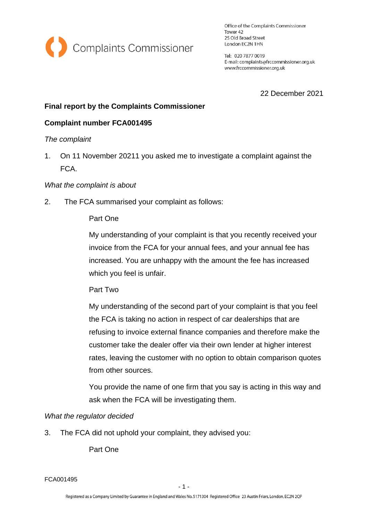

Office of the Complaints Commissioner Tower 42 25 Old Broad Street London EC2N 1HN

Tel: 020 7877 0019 E-mail: complaints@frccommissioner.org.uk www.frccommissioner.org.uk

22 December 2021

# **Final report by the Complaints Commissioner**

# **Complaint number FCA001495**

### *The complaint*

1. On 11 November 20211 you asked me to investigate a complaint against the FCA.

### *What the complaint is about*

2. The FCA summarised your complaint as follows:

### Part One

My understanding of your complaint is that you recently received your invoice from the FCA for your annual fees, and your annual fee has increased. You are unhappy with the amount the fee has increased which you feel is unfair.

Part Two

My understanding of the second part of your complaint is that you feel the FCA is taking no action in respect of car dealerships that are refusing to invoice external finance companies and therefore make the customer take the dealer offer via their own lender at higher interest rates, leaving the customer with no option to obtain comparison quotes from other sources.

You provide the name of one firm that you say is acting in this way and ask when the FCA will be investigating them.

### *What the regulator decided*

3. The FCA did not uphold your complaint, they advised you:

Part One

FCA001495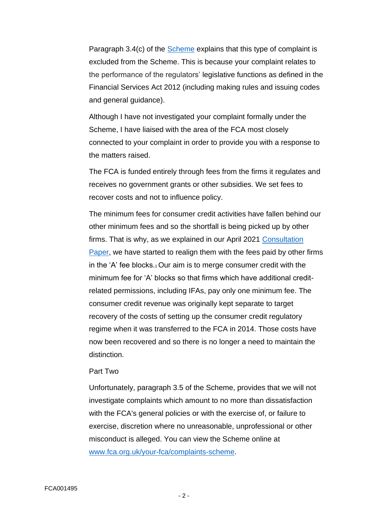Paragraph 3.4(c) of the [Scheme](http://www.fca.org.uk/your-fca/complaints-scheme) explains that this type of complaint is excluded from the Scheme. This is because your complaint relates to the performance of the regulators' legislative functions as defined in the Financial Services Act 2012 (including making rules and issuing codes and general guidance).

Although I have not investigated your complaint formally under the Scheme, I have liaised with the area of the FCA most closely connected to your complaint in order to provide you with a response to the matters raised.

The FCA is funded entirely through fees from the firms it regulates and receives no government grants or other subsidies. We set fees to recover costs and not to influence policy.

The minimum fees for consumer credit activities have fallen behind our other minimum fees and so the shortfall is being picked up by other firms. That is why, as we explained in our April 2021 [Consultation](https://www.fca.org.uk/publication/consultation/cp21-8.pdf)  [Paper,](https://www.fca.org.uk/publication/consultation/cp21-8.pdf) we have started to realign them with the fees paid by other firms in the 'A' fee blocks.<sub>1</sub> Our aim is to merge consumer credit with the minimum fee for 'A' blocks so that firms which have additional creditrelated permissions, including IFAs, pay only one minimum fee. The consumer credit revenue was originally kept separate to target recovery of the costs of setting up the consumer credit regulatory regime when it was transferred to the FCA in 2014. Those costs have now been recovered and so there is no longer a need to maintain the distinction.

#### Part Two

Unfortunately, paragraph 3.5 of the Scheme, provides that we will not investigate complaints which amount to no more than dissatisfaction with the FCA's general policies or with the exercise of, or failure to exercise, discretion where no unreasonable, unprofessional or other misconduct is alleged. You can view the Scheme online at [www.fca.org.uk/your-fca/complaints-scheme.](http://www.fca.org.uk/your-fca/complaints-scheme)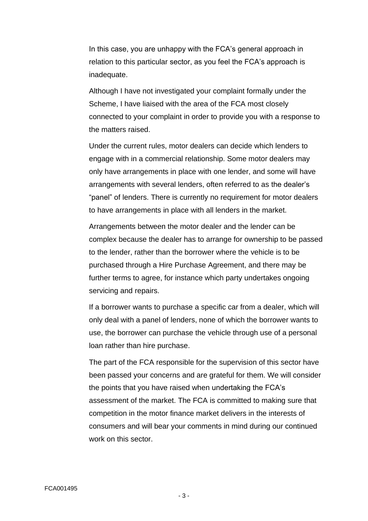In this case, you are unhappy with the FCA's general approach in relation to this particular sector, as you feel the FCA's approach is inadequate.

Although I have not investigated your complaint formally under the Scheme, I have liaised with the area of the FCA most closely connected to your complaint in order to provide you with a response to the matters raised.

Under the current rules, motor dealers can decide which lenders to engage with in a commercial relationship. Some motor dealers may only have arrangements in place with one lender, and some will have arrangements with several lenders, often referred to as the dealer's "panel" of lenders. There is currently no requirement for motor dealers to have arrangements in place with all lenders in the market.

Arrangements between the motor dealer and the lender can be complex because the dealer has to arrange for ownership to be passed to the lender, rather than the borrower where the vehicle is to be purchased through a Hire Purchase Agreement, and there may be further terms to agree, for instance which party undertakes ongoing servicing and repairs.

If a borrower wants to purchase a specific car from a dealer, which will only deal with a panel of lenders, none of which the borrower wants to use, the borrower can purchase the vehicle through use of a personal loan rather than hire purchase.

The part of the FCA responsible for the supervision of this sector have been passed your concerns and are grateful for them. We will consider the points that you have raised when undertaking the FCA's assessment of the market. The FCA is committed to making sure that competition in the motor finance market delivers in the interests of consumers and will bear your comments in mind during our continued work on this sector.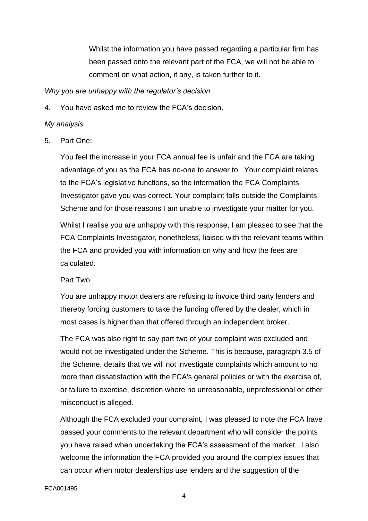Whilst the information you have passed regarding a particular firm has been passed onto the relevant part of the FCA, we will not be able to comment on what action, if any, is taken further to it.

#### *Why you are unhappy with the regulator's decision*

4. You have asked me to review the FCA's decision.

#### *My analysis*

5. Part One:

You feel the increase in your FCA annual fee is unfair and the FCA are taking advantage of you as the FCA has no-one to answer to. Your complaint relates to the FCA's legislative functions, so the information the FCA Complaints Investigator gave you was correct. Your complaint falls outside the Complaints Scheme and for those reasons I am unable to investigate your matter for you.

Whilst I realise you are unhappy with this response, I am pleased to see that the FCA Complaints Investigator, nonetheless, liaised with the relevant teams within the FCA and provided you with information on why and how the fees are calculated.

#### Part Two

You are unhappy motor dealers are refusing to invoice third party lenders and thereby forcing customers to take the funding offered by the dealer, which in most cases is higher than that offered through an independent broker.

The FCA was also right to say part two of your complaint was excluded and would not be investigated under the Scheme. This is because, paragraph 3.5 of the Scheme, details that we will not investigate complaints which amount to no more than dissatisfaction with the FCA's general policies or with the exercise of, or failure to exercise, discretion where no unreasonable, unprofessional or other misconduct is alleged.

Although the FCA excluded your complaint, I was pleased to note the FCA have passed your comments to the relevant department who will consider the points you have raised when undertaking the FCA's assessment of the market. I also welcome the information the FCA provided you around the complex issues that can occur when motor dealerships use lenders and the suggestion of the